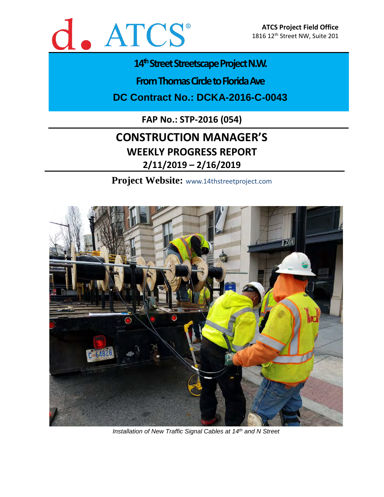

## 14<sup>th</sup> Street Streetscape Project N.W.

**From Thomas Circle to Florida Ave** 

**DC Contract No.: DCKA-2016-C-0043**

**FAP No.: STP-2016 (054)**

# **CONSTRUCTION MANAGER'S WEEKLY PROGRESS REPORT 2/11/2019 – 2/16/2019**

**Project Website:** www.14thstreetproject.com



*Installation of New Traffic Signal Cables at 14th and N Street*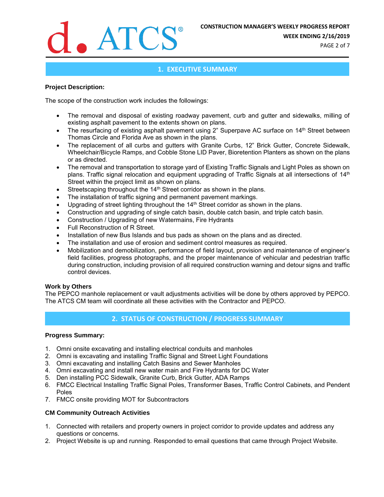

**WEEK ENDING 2/16/2019**

PAGE 2 of 7

### **1. EXECUTIVE SUMMARY**

#### **Project Description:**

The scope of the construction work includes the followings:

- The removal and disposal of existing roadway pavement, curb and gutter and sidewalks, milling of existing asphalt pavement to the extents shown on plans.
- The resurfacing of existing asphalt pavement using 2" Superpave AC surface on 14<sup>th</sup> Street between Thomas Circle and Florida Ave as shown in the plans.
- The replacement of all curbs and gutters with Granite Curbs, 12" Brick Gutter, Concrete Sidewalk, Wheelchair/Bicycle Ramps, and Cobble Stone LID Paver, Bioretention Planters as shown on the plans or as directed.
- The removal and transportation to storage yard of Existing Traffic Signals and Light Poles as shown on plans. Traffic signal relocation and equipment upgrading of Traffic Signals at all intersections of 14<sup>th</sup> Street within the project limit as shown on plans.
- Streetscaping throughout the 14<sup>th</sup> Street corridor as shown in the plans.
- The installation of traffic signing and permanent pavement markings.
- Upgrading of street lighting throughout the 14<sup>th</sup> Street corridor as shown in the plans.
- Construction and upgrading of single catch basin, double catch basin, and triple catch basin.
- Construction / Upgrading of new Watermains, Fire Hydrants
- Full Reconstruction of R Street.
- Installation of new Bus Islands and bus pads as shown on the plans and as directed.
- The installation and use of erosion and sediment control measures as required.
- Mobilization and demobilization, performance of field layout, provision and maintenance of engineer's field facilities, progress photographs, and the proper maintenance of vehicular and pedestrian traffic during construction, including provision of all required construction warning and detour signs and traffic control devices.

#### **Work by Others**

The PEPCO manhole replacement or vault adjustments activities will be done by others approved by PEPCO. The ATCS CM team will coordinate all these activities with the Contractor and PEPCO.

### **2. STATUS OF CONSTRUCTION / PROGRESS SUMMARY**

#### **Progress Summary:**

- 1. Omni onsite excavating and installing electrical conduits and manholes
- 2. Omni is excavating and installing Traffic Signal and Street Light Foundations
- 3. Omni excavating and installing Catch Basins and Sewer Manholes
- 4. Omni excavating and install new water main and Fire Hydrants for DC Water
- 5. Den installing PCC Sidewalk, Granite Curb, Brick Gutter, ADA Ramps
- 6. FMCC Electrical Installing Traffic Signal Poles, Transformer Bases, Traffic Control Cabinets, and Pendent Poles
- 7. FMCC onsite providing MOT for Subcontractors

#### **CM Community Outreach Activities**

- 1. Connected with retailers and property owners in project corridor to provide updates and address any questions or concerns.
- 2. Project Website is up and running. Responded to email questions that came through Project Website.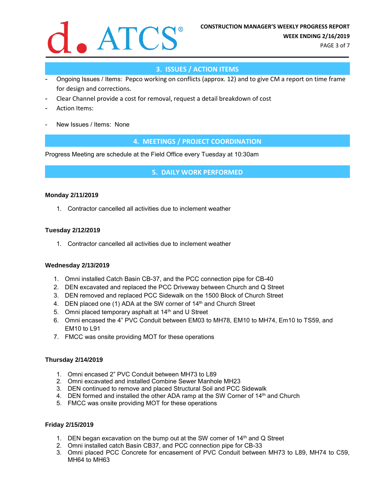

PAGE 3 of 7

## **3. ISSUES / ACTION ITEMS**

- Ongoing Issues / Items: Pepco working on conflicts (approx. 12) and to give CM a report on time frame for design and corrections.
- Clear Channel provide a cost for removal, request a detail breakdown of cost
- Action Items:
- New Issues / Items: None

**4. MEETINGS / PROJECT COORDINATION**

Progress Meeting are schedule at the Field Office every Tuesday at 10:30am

**5. DAILY WORK PERFORMED**

#### **Monday 2/11/2019**

1. Contractor cancelled all activities due to inclement weather

#### **Tuesday 2/12/2019**

1. Contractor cancelled all activities due to inclement weather

#### **Wednesday 2/13/2019**

- 1. Omni installed Catch Basin CB-37, and the PCC connection pipe for CB-40
- 2. DEN excavated and replaced the PCC Driveway between Church and Q Street
- 3. DEN removed and replaced PCC Sidewalk on the 1500 Block of Church Street
- 4. DEN placed one (1) ADA at the SW corner of  $14<sup>th</sup>$  and Church Street
- 5. Omni placed temporary asphalt at 14<sup>th</sup> and U Street
- 6. Omni encased the 4" PVC Conduit between EM03 to MH78, EM10 to MH74, Em10 to TS59, and EM10 to L91
- 7. FMCC was onsite providing MOT for these operations

#### **Thursday 2/14/2019**

- 1. Omni encased 2" PVC Conduit between MH73 to L89
- 2. Omni excavated and installed Combine Sewer Manhole MH23
- 3. DEN continued to remove and placed Structural Soil and PCC Sidewalk
- 4. DEN formed and installed the other ADA ramp at the SW Corner of  $14<sup>th</sup>$  and Church
- 5. FMCC was onsite providing MOT for these operations

#### **Friday 2/15/2019**

- 1. DEN began excavation on the bump out at the SW corner of 14<sup>th</sup> and Q Street
- 2. Omni installed catch Basin CB37, and PCC connection pipe for CB-33
- 3. Omni placed PCC Concrete for encasement of PVC Conduit between MH73 to L89, MH74 to C59, MH64 to MH63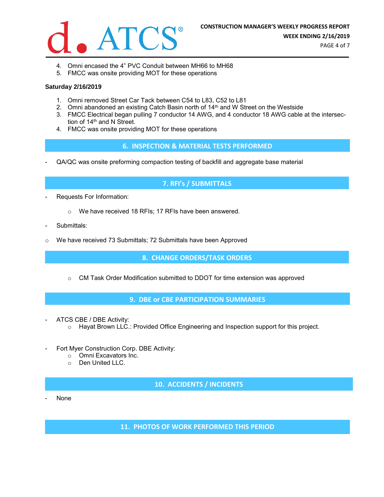

PAGE 4 of 7

- 4. Omni encased the 4" PVC Conduit between MH66 to MH68
- 5. FMCC was onsite providing MOT for these operations

#### **Saturday 2/16/2019**

- 1. Omni removed Street Car Tack between C54 to L83, C52 to L81
- 2. Omni abandoned an existing Catch Basin north of  $14<sup>th</sup>$  and W Street on the Westside
- 3. FMCC Electrical began pulling 7 conductor 14 AWG, and 4 conductor 18 AWG cable at the intersection of 14<sup>th</sup> and N Street.
- 4. FMCC was onsite providing MOT for these operations

#### **6. INSPECTION & MATERIAL TESTS PERFORMED**

- QA/QC was onsite preforming compaction testing of backfill and aggregate base material

### **7. RFI's / SUBMITTALS**

- Requests For Information:
	- o We have received 18 RFIs; 17 RFIs have been answered.
- Submittals:
- $\circ$  We have received 73 Submittals; 72 Submittals have been Approved

**8. CHANGE ORDERS/TASK ORDERS**

 $\circ$  CM Task Order Modification submitted to DDOT for time extension was approved

**9. DBE or CBE PARTICIPATION SUMMARIES**

- ATCS CBE / DBE Activity:
	- o Hayat Brown LLC.: Provided Office Engineering and Inspection support for this project.
- Fort Myer Construction Corp. DBE Activity:
	- o Omni Excavators Inc.
	- o Den United LLC.

**10. ACCIDENTS / INCIDENTS**

None

**11. PHOTOS OF WORK PERFORMED THIS PERIOD**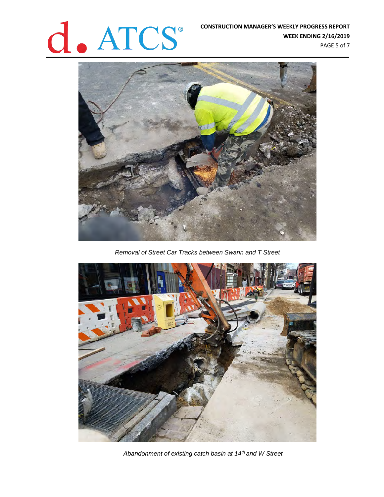# **CONSTRUCTION MANAGER'S WEEKLY PROGRESS REPORT<br>WEEK ENDING 2/16/2019<br>PAGE 5 of 7**

**WEEK ENDING 2/16/2019** PAGE 5 of 7



*Removal of Street Car Tracks between Swann and T Street*



*Abandonment of existing catch basin at 14th and W Street*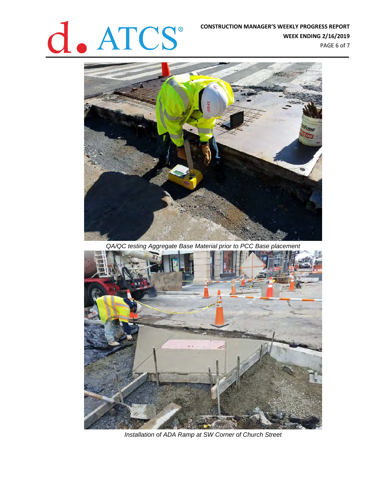# **CONSTRUCTION MANAGER'S WEEKLY PROGRESS REPORT**<br>WEEK ENDING 2/16/2019

**WEEK ENDING 2/16/2019** PAGE 6 of 7



*QA/QC testing Aggregate Base Material prior to PCC Base placement*



*Installation of ADA Ramp at SW Corner of Church Street*